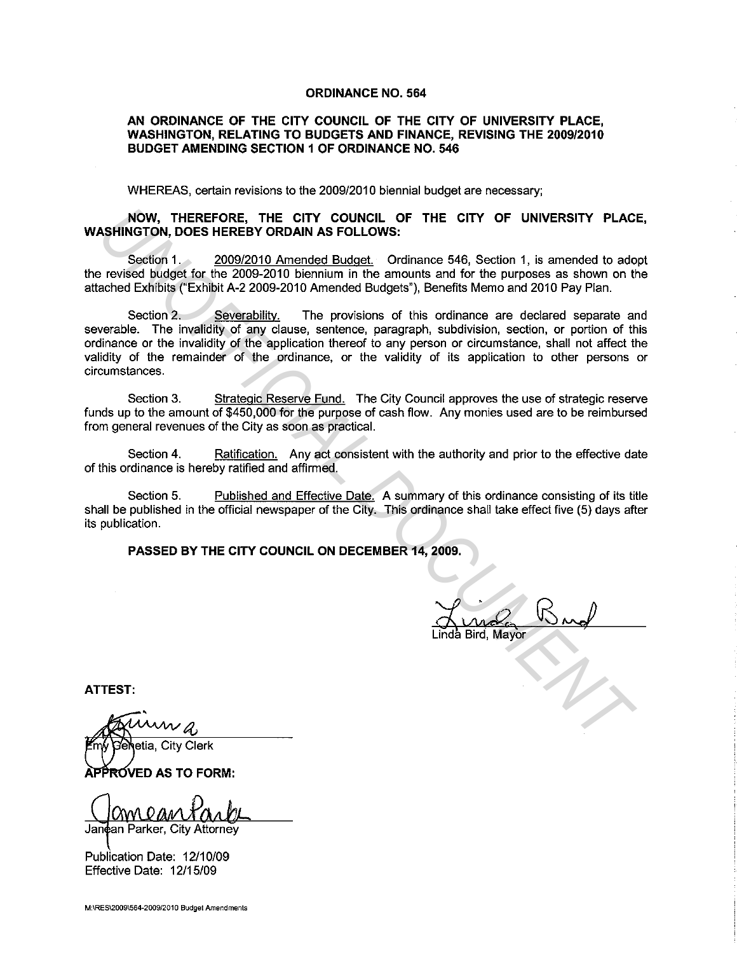#### **ORDINANCE NO. 564**

### **AN ORDINANCE OF THE CITY COUNCIL OF THE CITY OF UNIVERSITY PLACE, WASHINGTON, RELATING TO BUDGETS AND FINANCE, REVISING THE 2009/2010 BUDGET AMENDING SECTION 1 OF ORDINANCE NO. 546**

WHEREAS, certain revisions to the 2009/2010 biennial budget are necessary;

### **NOW, THEREFORE, THE CITY COUNCIL OF THE CITY OF UNIVERSITY PLACE, WASHINGTON, DOES HEREBY ORDAIN AS FOLLOWS:**

Section 1. 2009/2010 Amended Budget. Ordinance 546, Section 1, is amended to adopt the revised budget for the 2009-2010 biennium in the amounts and for the purposes as shown on the attached Exhibits ("Exhibit A-2 2009-2010 Amended Budgets"), Benefits Memo and 2010 Pay Plan.

Section 2. Severability. The provisions of this ordinance are declared separate and severable. The invalidity of any clause, sentence, paragraph, subdivision, section, or portion of this ordinance or the invalidity of the application thereof to any person or circumstance, shall not affect the validity of the remainder of the ordinance, or the validity of its application to other persons or circumstances. **NOW, THEREFORE, THE CITY COUNCIL OF THE CITY OF UNIVERSITY PLACE<br>
Seedion 1, Seedion 1, Second NR SFOLLOWS:**<br>
Seedion 1, Second NR SFOLLOWS:<br>
Seedion 1, Second NR SFOLLOWS:<br>
Seedion 1, Second Diversion 2, 2009-2010 Amende

Section 3. Strategic Reserve Fund. The City Council approves the use of strategic reserve funds up to the amount of \$450,000 for the purpose of cash flow. Any monies used are to be reimbursed from general revenues of the City as soon as practical.

Section 4. Ratification. Any act consistent with the authority and prior to the effective date of this ordinance is hereby ratified and affirmed.

Section 5. Published and Effective Date. A summary of this ordinance consisting of its title shall be published in the official newspaper of the City. This ordinance shall take effect five (5) days after its publication.

**PASSED BY THE CITY COUNCIL ON DECEMBER 14, 2009.** 

Linda Bird, Mayor

**ATTEST:** 

ROVED AS TO FORM:

Janean Parker, City Attorney

Publication Date: 12/10/09 Effective Date: 12/15/09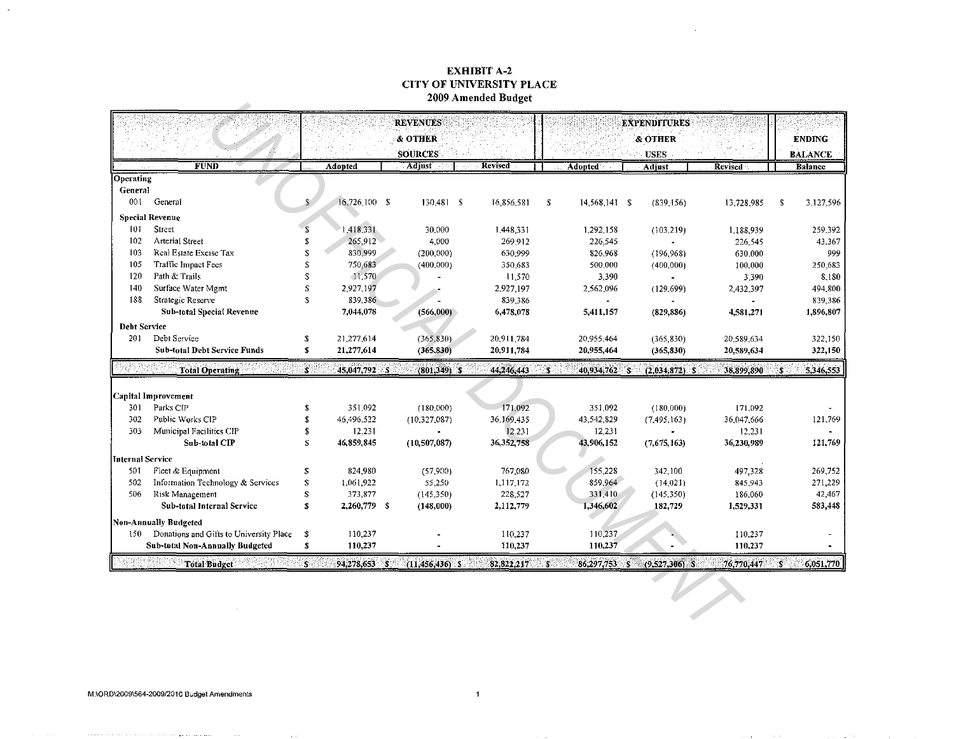### **EXHIBIT A-2 CITY OF UNIVERSITY PLACE** 2009 Amended Budget

 $\sim$ 

V

**C** 

|                     |                                         |                         |                | <b>REVENUES</b>    |              |                                | <b>EXPENDITURES</b> |                |      |                |
|---------------------|-----------------------------------------|-------------------------|----------------|--------------------|--------------|--------------------------------|---------------------|----------------|------|----------------|
|                     |                                         |                         |                | & OTHER            |              |                                | & OTHER             |                |      | <b>ENDING</b>  |
|                     |                                         |                         |                | <b>SOURCES</b>     |              |                                | <b>USES</b>         |                |      | <b>BALANCE</b> |
|                     | <b>FUND</b>                             |                         | <b>Adopted</b> | <b>Adjust</b>      | Revised      | <b>Adopted</b>                 | Adjust              | <b>Revised</b> |      | <b>Balance</b> |
| Operating           |                                         |                         |                |                    |              |                                |                     |                |      |                |
| General             |                                         |                         |                |                    |              |                                |                     |                |      |                |
| 001                 | General                                 | S.                      | 16,726,100 \$  | $130,481$ \$       | 16,856.581   | -\$<br>14,568,141 \$           | (839, 156)          | 13,728,985     | - \$ | 3,127,596      |
|                     | <b>Special Revenue</b>                  |                         |                |                    |              |                                |                     |                |      |                |
| 101                 | Street                                  | s                       | 1,418,331      | 30,000             | 1,448,331    | 1,292,158                      | (103.219)           | 1,188,939      |      | 259,392        |
| 102                 | <b>Arterial Street</b>                  | \$                      | 265.912        | 4,000              | 269.912      | 226,545                        |                     | 226,545        |      | 43,367         |
| 103                 | Real Estate Excise Tax                  | S                       | 830,999        | (200,000)          | 630.999      | 826.968                        | (196, 968)          | 630,000        |      | 999            |
| 105                 | <b>Traffic Impact Fees</b>              | S                       | 750,683        | (400,000)          | 350,683      | 500,000                        | (400,000)           | 100,000        |      | 250,683        |
| 120                 | Path & Trails                           | Ś                       | 11,570         |                    | 11,570       | 3,390                          |                     | 3,390          |      | 8,180          |
| 140                 | Surface Water Mgmt                      | S                       | 2,927,197      |                    | 2,927,197    | 2,562,096                      | (129.699)           | 2,432,397      |      | 494,800        |
| 188                 | Strategic Reserve                       | S                       | 839,386        |                    | 839,386      |                                |                     | $\bullet$      |      | 839,386        |
|                     | <b>Sub-total Special Revenue</b>        |                         | 7,044,078      | (566,000)          | 6,478.078    | 5,411,157                      | (829, 886)          | 4,581,271      |      | 1,896,807      |
| <b>Debt Service</b> |                                         |                         |                |                    |              |                                |                     |                |      |                |
| 201                 | Debt Service                            | \$                      | 21,277,614     | (365, 830)         | 20.911.784   | 20,955.464                     | (365.830)           | 20.589.634     |      | 322,150        |
|                     | <b>Sub-total Debt Service Funds</b>     | \$                      | 21,277.614     | (365, 830)         | 20,911.784   | 20,955,464                     | (365, 830)          | 20,589,634     |      | 322,150        |
|                     | <b>Total Operating</b>                  | S.                      | 45,047.792 \$  | $(801,349)$ S      | 44,246,443   | -8<br>40,934,762 \$            | $(2,034,872)$ S     | 38.899,890     | 3    | 5.346,553      |
|                     | Capital Improvement                     |                         |                |                    |              |                                |                     |                |      |                |
| 301                 | Parks CIP                               | \$                      | 351.092        | (180,000)          | 171.092      | 351.092                        | (180,000)           | 171.092        |      |                |
| 302                 | Public Works CIP                        | \$                      | 46,496,522     | (10,327,087)       | 36,169,435   | 43,542,829                     | (7,495,163)         | 36,047,666     |      | 121,769        |
| 303                 | Municipal Facilities CIP                | \$                      | 12,231         |                    | 12,231       | 12.231                         |                     | 12,231         |      |                |
|                     | Sub-total CIP                           | $\overline{\mathbf{s}}$ | 46,859,845     | (10, 507, 087)     | 36, 352, 758 | 43,906,152                     | (7,675,163)         | 36,230,989     |      | 121,769        |
| Internal Service    |                                         |                         |                |                    |              |                                |                     |                |      |                |
| 501                 | Fleet & Equipment                       | S.                      | 824 980        | (57.900)           | 767,080      | 155,228                        | 342,100             | 497,328        |      | 269,752        |
| 502                 | Information Technology & Services       | $\mathbf{s}$            | 1.061.922      | 55,250             | 1,117,172    | 859.964                        | (14.021)            | 845.943        |      | 271,229        |
| 506                 | <b>Risk Management</b>                  | Ś                       | 373,877        | (145, 350)         | 228.527      | 331,410                        | (145, 350)          | 186,060        |      | 42,467         |
|                     | <b>Sub-total Internal Service</b>       | S                       | 2,260,779 \$   | (148,000)          | 2,112,779    | 1,346,602                      | 182,729             | 1,529,331      |      | 583,448        |
|                     | Non-Annually Budgeted                   |                         |                |                    |              |                                |                     |                |      |                |
| 150                 | Donations and Gifts to University Place | s                       | 110,237        |                    | 110,237      | 110,237                        |                     | 110,237        |      |                |
|                     | Sub-total Non-Annually Budgeted         | s                       | 110,237        |                    | 110,237      | 110.237                        |                     | 110,237        |      |                |
|                     | <b>Total Budget</b>                     | $\mathbb{S}^2$          | 94,278,653 \$  | $(11, 456, 436)$ S | 82,822,217   | $\mathbf{s}$<br>$86,297,753$ S | $(9,527,306)$ \$    | 76,770,447     | ंड   | 6,051,770      |

the community of the community and the community of the community

 $\sim 10^7$ 

zh.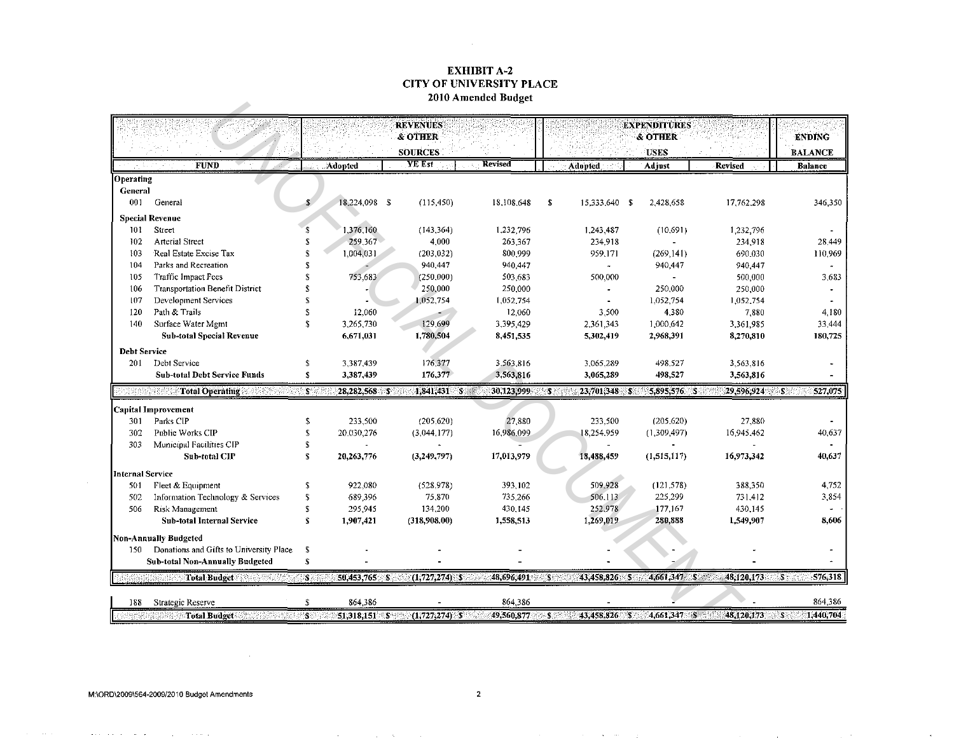### **EXHIBIT A-2 CITY OF UNIVERSITY PLACE** 2010 Amended Budget

 $\mathcal{L}^{\text{max}}_{\text{max}}$  and  $\mathcal{L}^{\text{max}}_{\text{max}}$ 

|                         |                                         |                       |                 | <b>REVENUES</b><br>& OTHER<br><b>SOURCES</b> |                 |                |              |      |                       | <b>EXPENDITURES</b><br>& OTHER<br>USES |                | <b>ENDING</b><br><b>BALANCE</b> |
|-------------------------|-----------------------------------------|-----------------------|-----------------|----------------------------------------------|-----------------|----------------|--------------|------|-----------------------|----------------------------------------|----------------|---------------------------------|
|                         | <b>FUND</b>                             |                       | Adopted         | YE Est                                       |                 | <b>Revised</b> |              |      | <b>Adopted</b>        | Adjust                                 | <b>Revised</b> | <b>Balance</b>                  |
| Operating               |                                         |                       |                 |                                              |                 |                |              |      |                       |                                        |                |                                 |
| General                 |                                         |                       |                 |                                              |                 |                |              |      |                       |                                        |                |                                 |
| 001                     | General                                 |                       | 18,224,098 \$   |                                              | (115, 450)      | 18,108,648     |              | \$   | 15,333,640 \$         | 2,428,658                              | 17.762,298     | 346,350                         |
|                         | <b>Special Revenue</b>                  |                       |                 |                                              |                 |                |              |      |                       |                                        |                |                                 |
| 101                     | Street                                  | \$                    | 1,376,160       |                                              | (143, 364)      | 1,232.796      |              |      | 1,243,487             | (10,691)                               | 1,232,796      |                                 |
| 102                     | <b>Arterial Street</b>                  | \$                    | 259.367         |                                              | 4,000           |                | 263.367      |      | 234,918               |                                        | 234,918        | 28,449                          |
| 103                     | Real Estate Excise Tax                  | \$                    | 1,004,031       |                                              | (203, 032)      |                | 800,999      |      | 959,171               | (269, 141)                             | 690,030        | 110,969                         |
| 104                     | Parks and Recreation                    | S                     |                 |                                              | 940,447         |                | 940.447      |      | $\tilde{\phantom{a}}$ | 940,447                                | 940,447        |                                 |
| 105                     | Traffic Impact Fees                     | S                     | 753,683         |                                              | (250,000)       |                | 503.683      |      | 500,000               | $\blacksquare$                         | 500,000        | 3,683                           |
| 106                     | <b>Transportation Benefit District</b>  | S                     |                 |                                              | 250,000         |                | 250,000      |      | $\blacksquare$        | 250.000                                | 250,000        |                                 |
| 107                     | Development Services                    | S                     |                 |                                              | 1,052,754       | 1,052.754      |              |      |                       | 1,052,754                              | 1,052,754      |                                 |
| 120                     | Path & Trails                           | S                     | 12,060          |                                              |                 |                | 12.060       |      | 3.500                 | 4,380                                  | 7.880          | 4.180                           |
| 140                     | Surface Water Mgmt                      | \$.                   | 3,265,730       |                                              | 129,699         | 3,395,429      |              |      | 2.361.343             | 1,000,642                              | 3,361,985      | 33,444                          |
|                         | <b>Sub-total Special Revenue</b>        |                       | 6,671,031       |                                              | 1,780,504       | 8,451.535      |              |      | 5,302,419             | 2,968.391                              | 8,270,810      | 180,725                         |
|                         | <b>Debt Service</b>                     |                       |                 |                                              |                 |                |              |      |                       |                                        |                |                                 |
| 201                     | Debt Service                            | \$                    | 3,387,439       |                                              | 176,377         | 3,563.816      |              |      | 3,065,289             | 498,527                                | 3.563.816      |                                 |
|                         | <b>Sub-total Debt Service Funds</b>     | ${\bf S}$             | 3,387,439       |                                              | 176,377         | 3,563,816      |              |      | 3,065,289             | 498,527                                | 3,563,816      |                                 |
|                         | <b>Total Operating</b>                  | $\mathbf{S}^{\times}$ | $28,282,568$ \$ |                                              | 1,841,431 \$    | 30,123,999     |              | 8    | 23,701,348 \$         | 5,895,576 \$                           | 29.596.924     | 527,075<br>-58                  |
|                         | <b>Capital Improvement</b>              |                       |                 |                                              |                 |                |              |      |                       |                                        |                |                                 |
| 301                     | Parks CIP                               | \$                    | 233.500         |                                              | (205.620)       |                | 27,880       |      | 233,500               | (205.620)                              | 27.880         |                                 |
| 302                     | Puolic Works CIP                        | $\mathbf S$           | 20,030,276      |                                              | (3,044,177)     | 16,986,099     |              |      | 18,254,959            | (1,309,497)                            | 16,945,462     | 40,637                          |
| 303                     | Municipal Facilities CIP                | \$                    |                 |                                              |                 |                |              |      |                       |                                        |                |                                 |
|                         | Sub-total CIP                           | \$                    | 20,263,776      |                                              | (3, 249, 797)   | 17,013,979     |              |      | 18,488,459            | (1, 515, 117)                          | 16,973,342     | 40,637                          |
| <b>Internal Service</b> |                                         |                       |                 |                                              |                 |                |              |      |                       |                                        |                |                                 |
| 501                     | Fleet & Equipment                       | \$                    | 922.080         |                                              | (528, 978)      |                | 393.102      |      | 509,928               | (121.578)                              | 388,350        | 4,752                           |
| 502                     | Information Technology & Services       | \$                    | 689,396         |                                              | 75.870          |                | 735,266      |      | 506,113               | 225,299                                | 731.412        | 3,854                           |
| 506                     | Risk Management                         | \$                    | 295,945         |                                              | 134,200         |                | 430,145      |      | 252,978               | 177,167                                | 430,145        | $\blacksquare$                  |
|                         | <b>Sub-total Internal Service</b>       | $\pmb{\mathsf{s}}$    | 1,907,421       |                                              | (318,908.00)    | 1,558,513      |              |      | 1,269,019             | 280.888                                | 1,549,907      | 8,606                           |
|                         |                                         |                       |                 |                                              |                 |                |              |      |                       |                                        |                |                                 |
|                         | <b>Non-Annually Budgeted</b>            |                       |                 |                                              |                 |                |              |      |                       |                                        |                |                                 |
| 150                     | Donations and Gifts to University Place | -5                    |                 |                                              |                 |                |              |      |                       |                                        |                |                                 |
|                         | <b>Sub-total Non-Annually Budgeted</b>  | \$                    |                 |                                              |                 |                |              |      |                       |                                        |                |                                 |
|                         | <b>Total Budget</b>                     | 82                    | 50,453.765 \$   |                                              | $(1,727,274)$ S | 48,696.491     |              | í\$§ | 43,458,826 \$         | 4,661,347 \$                           | 48.120.173     | 576,318<br>$\mathbf{S}^2$       |
| 188                     | Strategic Reserve                       | \$                    | 864 386         |                                              |                 |                | 864 386      |      |                       |                                        |                | 864,386                         |
|                         | <b>Total Budget</b>                     | $\mathbf{S}$          | 51,318,151 \$   |                                              | $(1,727,274)$ S |                | 49,560,877 S |      | 43,458,826 S          | 4,661.347 \$                           | 48,120,173     | $S^{\circ}$<br>1440,704         |

the context of the context service and a service of the context of the context of the

 $\sim 100$ 

and the company's company's

 $\sim$ 

**Contractor**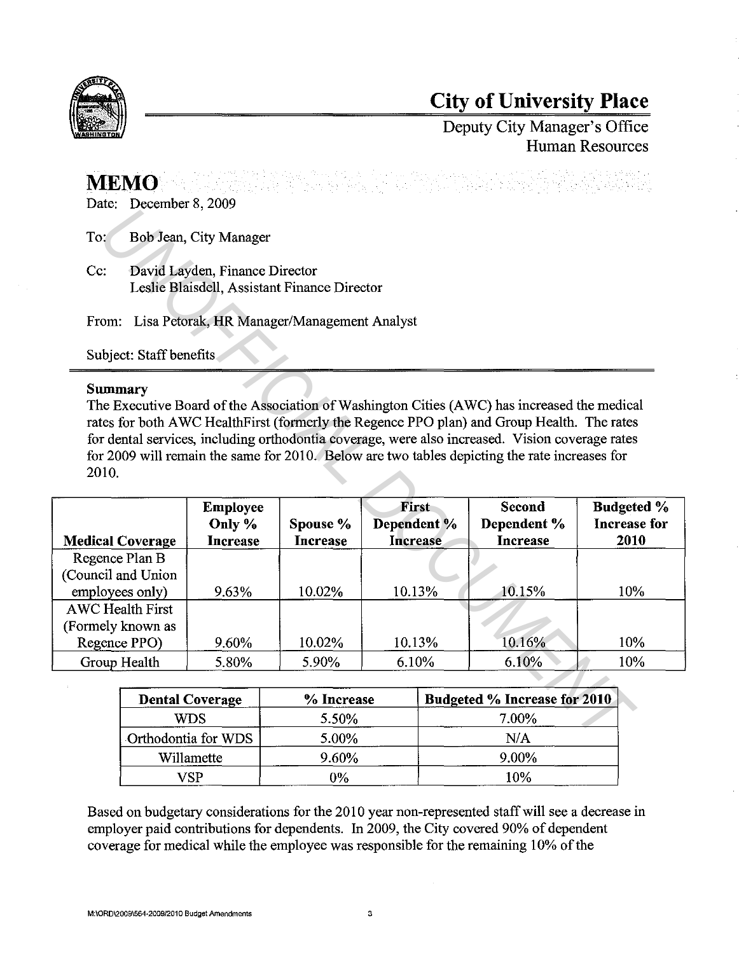

# **City of University Place**

Deputy City Manager's Office Human Resources

# **MEMO**

Date: December 8, 2009

### **Summary**

| To:                     |                                                         | Bob Jean, City Manager                       |                                                   |                      |                                                                                                                                                                                                                                                                                                                                                                                               |                             |  |  |  |
|-------------------------|---------------------------------------------------------|----------------------------------------------|---------------------------------------------------|----------------------|-----------------------------------------------------------------------------------------------------------------------------------------------------------------------------------------------------------------------------------------------------------------------------------------------------------------------------------------------------------------------------------------------|-----------------------------|--|--|--|
| Cc:                     |                                                         | David Layden, Finance Director               | Leslie Blaisdell, Assistant Finance Director      |                      |                                                                                                                                                                                                                                                                                                                                                                                               |                             |  |  |  |
|                         |                                                         |                                              | From: Lisa Petorak, HR Manager/Management Analyst |                      |                                                                                                                                                                                                                                                                                                                                                                                               |                             |  |  |  |
|                         | Subject: Staff benefits                                 |                                              |                                                   |                      |                                                                                                                                                                                                                                                                                                                                                                                               |                             |  |  |  |
| <b>Summary</b><br>2010. |                                                         |                                              |                                                   |                      | The Executive Board of the Association of Washington Cities (AWC) has increased the medical<br>rates for both AWC HealthFirst (formerly the Regence PPO plan) and Group Health. The rates<br>for dental services, including orthodontia coverage, were also increased. Vision coverage rates<br>for 2009 will remain the same for 2010. Below are two tables depicting the rate increases for |                             |  |  |  |
|                         | <b>Medical Coverage</b>                                 | <b>Employee</b><br>Only %<br><b>Increase</b> | Spouse %                                          | First<br>Dependent % | <b>Second</b><br>Dependent %                                                                                                                                                                                                                                                                                                                                                                  | <b>Budgeted %</b>           |  |  |  |
|                         |                                                         |                                              | <b>Increase</b>                                   | Increase             | Increase                                                                                                                                                                                                                                                                                                                                                                                      | <b>Increase for</b><br>2010 |  |  |  |
|                         | Regence Plan B<br>(Council and Union<br>employees only) | 9.63%                                        | 10.02%                                            | 10.13%               | 10.15%                                                                                                                                                                                                                                                                                                                                                                                        | 10%                         |  |  |  |
|                         | <b>AWC Health First</b><br>(Formely known as            |                                              |                                                   |                      |                                                                                                                                                                                                                                                                                                                                                                                               |                             |  |  |  |
|                         | Regence PPO)<br>Group Health                            | 9.60%<br>5.80%                               | 10.02%<br>5.90%                                   | 10.13%<br>6.10%      | 10.16%<br>6.10%                                                                                                                                                                                                                                                                                                                                                                               | 10%<br>10%                  |  |  |  |
|                         |                                                         |                                              |                                                   |                      |                                                                                                                                                                                                                                                                                                                                                                                               |                             |  |  |  |
|                         |                                                         | <b>Dental Coverage</b>                       | % Increase                                        |                      | Budgeted % Increase for 2010                                                                                                                                                                                                                                                                                                                                                                  |                             |  |  |  |
|                         |                                                         | <b>WDS</b><br>Orthodontia for WDS            | 5.50%<br>5.00%                                    |                      | 7.00%<br>N/A                                                                                                                                                                                                                                                                                                                                                                                  |                             |  |  |  |

| <b>Dental Coverage</b> | % Increase | Budgeted % Increase for 2010 |
|------------------------|------------|------------------------------|
| WDS                    | 5.50%      | 7.00%                        |
| Orthodontia for WDS    | 5.00%      | N/A                          |
| Willamette             | 9.60%      | 9.00%                        |
| 7C D                   | 0%         | 10%                          |

Based on budgetary considerations for the 2010 year non-represented staff will see a decrease in employer paid contributions for dependents. In 2009, the City covered 90% of dependent coverage for medical while the employee was responsible for the remaining 10% of the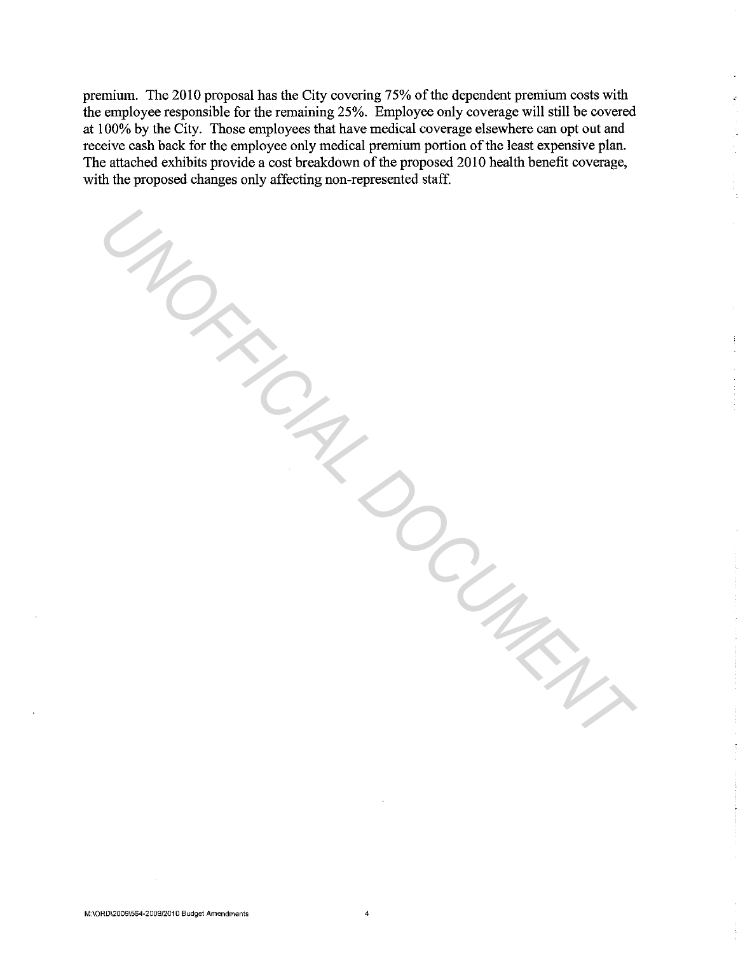premium. The 2010 proposal has the City covering 75% of the dependent premium costs with the employee responsible for the remaining 25%. Employee only coverage will still be covered at 100% by the City. Those employees that have medical coverage elsewhere can opt out and receive cash back for the employee only medical premium portion of the least expensive plan. The attached exhibits provide a cost breakdown of the proposed 2010 health benefit coverage, with the proposed changes only affecting non-represented staff.

*UNOFFICIAL DOCUMENT*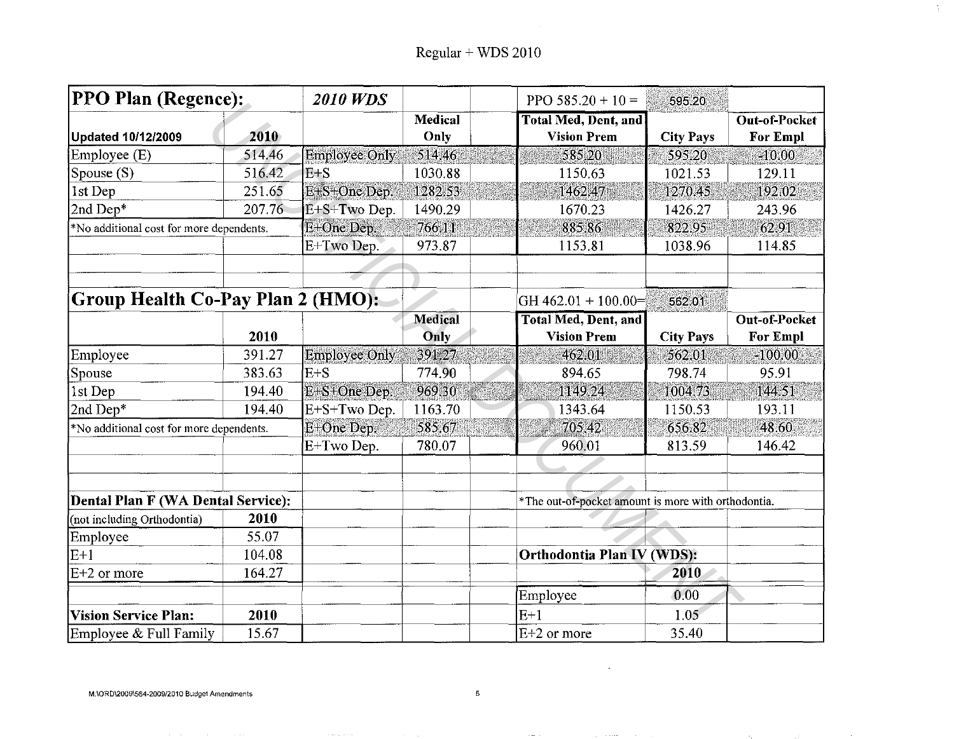$\Delta \sim$ 

| <b>PPO Plan (Regence):</b>               |        | <b>2010 WDS</b>      |                 | PPO $585.20 + 10 =$                                 | 595.20           |                                         |
|------------------------------------------|--------|----------------------|-----------------|-----------------------------------------------------|------------------|-----------------------------------------|
| <b>Updated 10/12/2009</b>                | 2010   |                      | Medical<br>Only | <b>Total Med, Dent, and</b><br><b>Vision Prem</b>   | <b>City Pays</b> | <b>Out-of-Pocket</b><br><b>For Empl</b> |
| Employee (E)                             | 514.46 | <b>Employee Only</b> | 514.46          | 585.20                                              | 595.20           | $-10.00$                                |
| Spouse (S)                               | 516.42 | IE+S                 | 1030.88         | 1150.63                                             | 1021.53          | 129.11                                  |
| 1st Dep                                  | 251.65 | E+S+One Dep.         | 1282.53         | 1462.47                                             | 1270.45          | 192.02                                  |
| 2nd Dep*                                 | 207.76 | E+S+Two Dep.         | 1490.29         | 1670.23                                             | 1426.27          | 243.96                                  |
| *No additional cost for more dependents. |        | E+One Dep.           | 766.11          | 885.86                                              | 822.95           | 62.91                                   |
|                                          |        | E+Two Dep.           | 973.87          | 1153.81                                             | 1038.96          | 114.85                                  |
|                                          |        |                      |                 |                                                     |                  |                                         |
|                                          |        |                      |                 |                                                     |                  |                                         |
| Group Health Co-Pay Plan 2 (HMO):        |        |                      |                 | GH $462.01 + 100.00 =$                              | 562.01           |                                         |
|                                          |        |                      | <b>Medical</b>  | <b>Total Med, Dent, and</b>                         |                  | Out-of-Pocket                           |
|                                          | 2010   |                      | Only            | <b>Vision Prem</b>                                  | <b>City Pays</b> | <b>For Empl</b>                         |
| Employee                                 | 391.27 | Employee Only        | 391.27          | 462.01                                              | 562.01           | $-100.00$                               |
| Spouse                                   | 383.63 | $E+S$                | 774.90          | 894.65                                              | 798.74           | 95.91                                   |
| 1st Dep                                  | 194.40 | E+S+One Dep.         | 969.30          | 1149.24                                             | 1004.73          | 144.51                                  |
| 2nd Dep*                                 | 194.40 | E+S+Two Dep.         | 1163.70         | 1343.64                                             | 1150.53          | 193.11                                  |
| *No additional cost for more dependents. |        | E+One Dep.           | 585.67          | 705.42                                              | 656.82           | 48.60                                   |
|                                          |        | E+Two Dep.           | 780.07          | 960.01                                              | 813.59           | 146.42                                  |
|                                          |        |                      |                 |                                                     |                  |                                         |
| Dental Plan F (WA Dental Service):       |        |                      |                 |                                                     |                  |                                         |
|                                          | 2010   |                      |                 | *The out-of-pocket amount is more with orthodontia. |                  |                                         |
| (not including Orthodontia)              |        |                      |                 |                                                     |                  |                                         |
| Employee                                 | 55.07  |                      |                 |                                                     |                  |                                         |
| $E+1$                                    | 104.08 |                      |                 | Orthodontia Plan IV (WDS):                          |                  |                                         |
| $E+2$ or more                            | 164.27 |                      |                 |                                                     | 2010             |                                         |
|                                          |        |                      |                 | Employee                                            | 0.00             |                                         |
| <b>Vision Service Plan:</b>              | 2010   |                      |                 | $E+1$                                               | 1.05             |                                         |
| Employee & Full Family                   | 15.67  |                      |                 | $E+2$ or more                                       | 35.40            |                                         |

 $\sim$ 

 $\sim$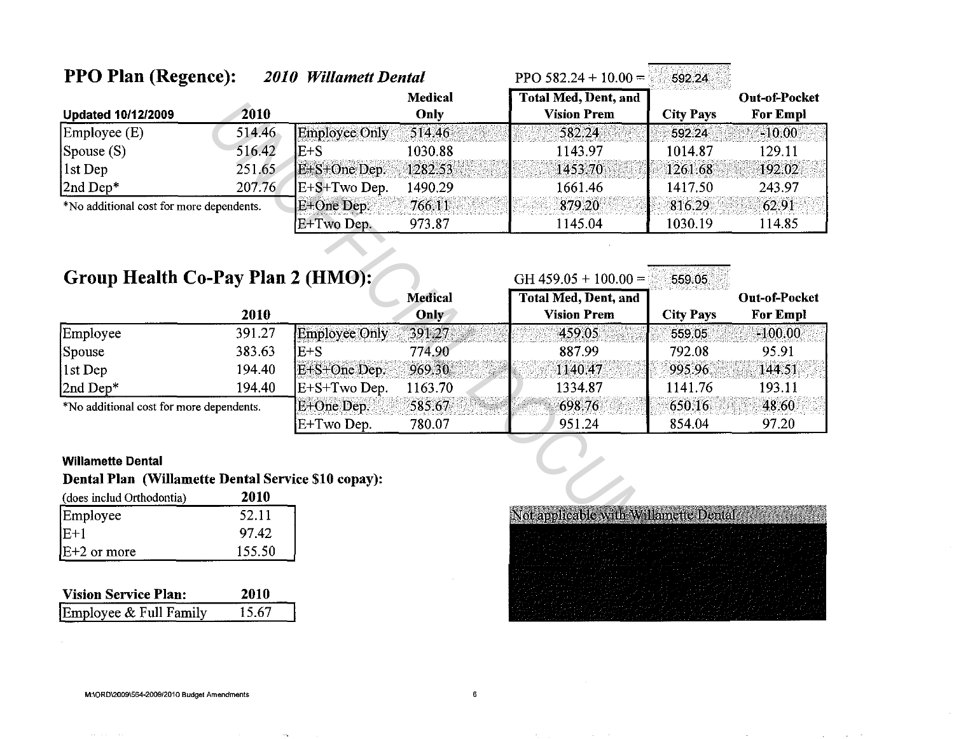| <b>PPO Plan (Regence):</b>                |        | 2010 Willamett Dental |                        | PPO $582.24 + 10.00 =$                            | 592.24           |                                         |
|-------------------------------------------|--------|-----------------------|------------------------|---------------------------------------------------|------------------|-----------------------------------------|
| <b>Updated 10/12/2009</b>                 | 2010   |                       | <b>Medical</b><br>Only | <b>Total Med, Dent, and</b><br><b>Vision Prem</b> | <b>City Pays</b> | <b>Out-of-Pocket</b><br><b>For Empl</b> |
| $\mathsf{Emplove}\left(\mathrm{E}\right)$ | 514.46 | Employee Only         | 514.46                 | 582.24                                            | 592.24           | $-10.00$                                |
| $ $ Spouse $(S)$                          | 516.42 | IE+S                  | 1030.88                | 1143.97                                           | 1014.87          | 129.11                                  |
| $ 1st$ Dep                                | 251.65 | E+S+One Dep           | 1282.53                | 1453.70                                           | 1261.68          | 192.02                                  |
| $2nd Dep*$                                | 207.76 | $E+S+Two$ Dep.        | 1490.29                | 1661.46                                           | 1417.50          | 243.97                                  |
| *No additional cost for more dependents.  |        | E+One Dep.            | 766.11                 | 879.20                                            | 816.29           | 62.91                                   |
|                                           |        | E+Two Dep.            | 973.87                 | 1145.04                                           | 1030.19          | 114.85                                  |

# Group Health Co-Pay Plan 2 (HMO):

|                                          |        |                      | <b>Medical</b> | <b>Total Med, Dent, and</b> | アーティー・シー しんしん あいしょうしん おおおとめ あいりょう | <b>Out-of-Pocket</b> |
|------------------------------------------|--------|----------------------|----------------|-----------------------------|-----------------------------------|----------------------|
|                                          | 2010   |                      | Only           | <b>Vision Prem</b>          | <b>City Pays</b>                  | <b>For Empl</b>      |
| Employee                                 | 391.27 | <b>Employee Only</b> | 391.27         | 459.05                      | 559.05                            | $-100.00$            |
| Spouse                                   | 383.63 | E+S                  | 774.90         | 887.99                      | 792.08                            | 95.91                |
| $ 1st$ Dep                               | 194.40 | E+S+One Dep.         | 969.30         | 1140,47                     | 995.96                            | 144.51               |
| 2nd Dep*                                 | 194.40 | E+S+Two Dep.         | 1163.70        | 1334.87                     | 1141.76                           | 193.11               |
| *No additional cost for more dependents. |        | E+One Dep.           | 585.67         | 698.76                      | 650.16                            | 48.60                |
|                                          |        | E+Two Dep.           | 780.07         | 951.24                      | 854.04                            | 97.20                |

### **Willamette Dental**

## Dental Plan (Willamette Dental Service \$10 copay):

| (does includ Orthodontia) | 2010   |
|---------------------------|--------|
| Employee                  | 52.11  |
| $E+1$                     | 97.42  |
| $E+2$ or more             | 155.50 |

| <b>Vision Service Plan:</b> | 2010   |
|-----------------------------|--------|
| Employee & Full Family      | -15.67 |



GH 459.05 + 100.00 = 559.05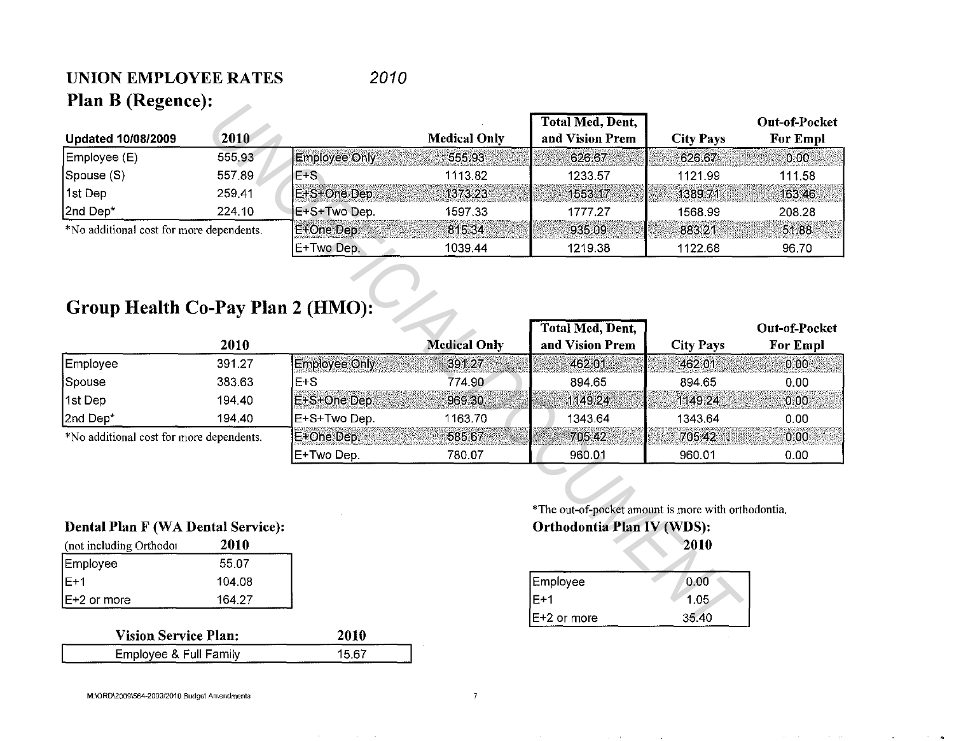### UNION EMPLOYEE RATES Plan B (Regence): 2010

| I IAII D (Regence).                       |        |                      |                     |                                                     |                  |                                  |
|-------------------------------------------|--------|----------------------|---------------------|-----------------------------------------------------|------------------|----------------------------------|
| <b>Updated 10/08/2009</b>                 | 2010   |                      | <b>Medical Only</b> | Total Med, Dent,<br>and Vision Prem                 | <b>City Pays</b> | Out-of-Pocket<br><b>For Empl</b> |
|                                           | 555.93 |                      |                     |                                                     |                  |                                  |
| Employee (E)                              |        | <b>Employee Only</b> | 555.93              | 626.67                                              | 626.67           | 0.00                             |
| Spouse (S)                                | 557.89 | $E+S$                | 1113.82             | 1233.57                                             | 1121.99          | 111.58                           |
| 1st Dep                                   | 259.41 | E+S+One Dep.         | 1373.23             | 1553.17                                             | 1389.71          | 16346                            |
| 2nd Dep*                                  | 224.10 | E+S+Two Dep.         | 1597.33             | 1777.27                                             | 1568.99          | 208.28                           |
| *No additional cost for more dependents.  |        | E+One Dep.           | 815.34              | 935.09                                              | 883.21           | 51.88                            |
|                                           |        | E+Two Dep.           | 1039.44             | 1219.38                                             | 1122.68          | 96.70                            |
| Group Health Co-Pay Plan 2 (HMO):         |        |                      |                     |                                                     |                  |                                  |
|                                           |        |                      |                     | <b>Total Med, Dent,</b>                             |                  | <b>Out-of-Pocket</b>             |
|                                           | 2010   |                      | <b>Medical Only</b> | and Vision Prem                                     | <b>City Pays</b> | <b>For Empl</b>                  |
| Employee                                  | 391.27 | <b>Employee Only</b> | 391.27              | 462.01                                              | 462.01           | 0.00                             |
| Spouse                                    | 383.63 | E+S                  | 774.90              | 894.65                                              | 894.65           | 0.00                             |
| 1st Dep                                   | 194,40 | E+S+One Dep.         | 969.30              | 1149.24                                             | 1149.24          | 0.00                             |
| 2nd Dep*                                  | 194,40 | E+S+Two Dep.         | 1163.70             | 1343.64                                             | 1343.64          | 0.00                             |
| *No additional cost for more dependents.  |        | E+One Dep.           | 585.67              | 705 42                                              | 705.42 .         | 0.00                             |
|                                           |        | E+Two Dep.           | 780.07              | 960.01                                              | 960.01           | 0.00                             |
|                                           |        |                      |                     | *The out-of-pocket amount is more with orthodontia. |                  |                                  |
| <b>Dental Plan F (WA Dental Service):</b> |        |                      |                     | Orthodontia Plan IV (WDS):                          |                  |                                  |
| (not including Orthodor                   | 2010   |                      |                     |                                                     | 2010             |                                  |
| Employee                                  | 55.07  |                      |                     |                                                     |                  |                                  |
| $E+1$                                     | 104.08 |                      |                     | Employee                                            | 0.00             |                                  |
| E+2 or more                               | 164.27 |                      |                     | $E+1$                                               | 1.05             |                                  |
|                                           |        |                      |                     | $E+2$ or more                                       | 35.40            |                                  |
| Vicion Service Plan:                      |        | 2010.                |                     |                                                     |                  |                                  |

# Group Health Co-Pay Plan 2 (HMO):

|                                          |        |                    |                     | Total Med, Dent, |                  | <b>Out-of-Pocket</b> |
|------------------------------------------|--------|--------------------|---------------------|------------------|------------------|----------------------|
|                                          | 2010   |                    | <b>Medical Only</b> | and Vision Prem  | <b>City Pays</b> | For Empl             |
| Employee                                 | 391.27 | IEmplovee Only .   | 391.27              | 462.01           | 462.01           | 0.00                 |
| Spouse                                   | 383.63 | IE+S               | 774.90              | 894.65           | 894.65           | 0.00                 |
| 1st Dep                                  | 194.40 | IE+S+One Dep.      | 969.30              | 1149.24          | 1149.24          | 0.00                 |
| 2nd Dep*                                 | 194,40 | IE+S+Two Dep.      | 1163.70             | 1343.64          | 1343.64          | 0.00                 |
| *No additional cost for more dependents. |        | <b>IE+One Dep.</b> | 585.67              | 705 42           | 705.42           | 0.00                 |
|                                          |        | E+Two Dep.         | 780.07              | 960.01           | 960.01           | 0.00                 |

### Dental Plan F (WA Dental Service):

| (not including Orthodor | 2010   |  |
|-------------------------|--------|--|
| Employee                | 55.07  |  |
| IE+1                    | 104.08 |  |
| IE+2 or more            | 164.27 |  |

| <b>Vision Service Plan:</b> | 2010   |
|-----------------------------|--------|
| Employee & Full Family      | 15 G 7 |

### Orthodontia Plan IV (WDS): 2010

| Employee      | 0.00  |
|---------------|-------|
| $IE+1$        | 1.05  |
| $E+2$ or more | 35.40 |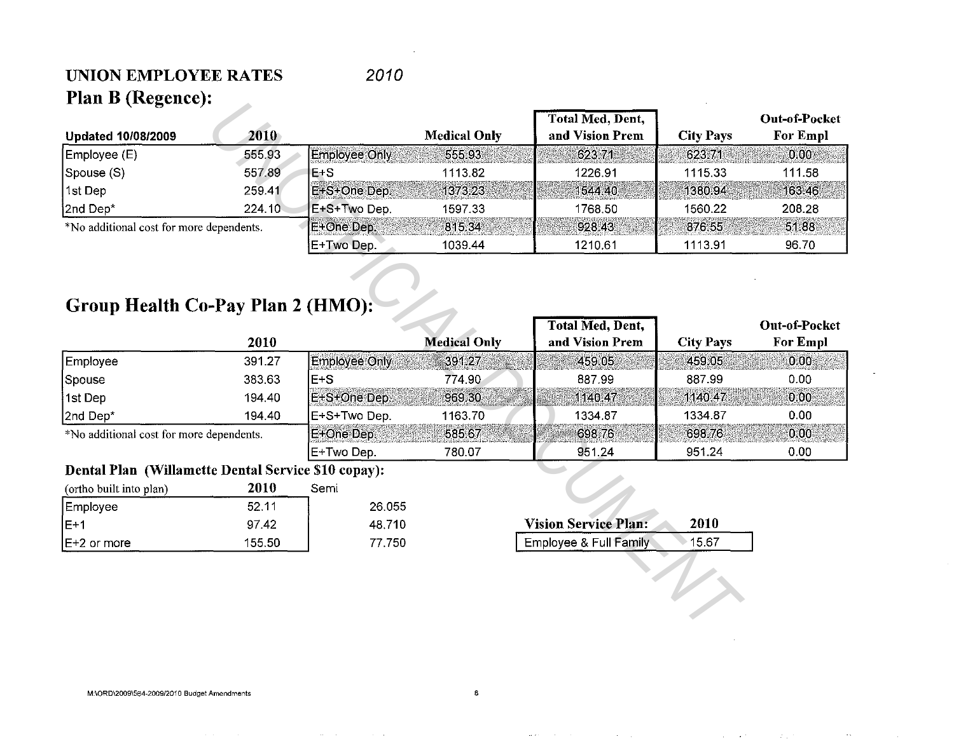## UNION EMPLOYEE RATES Plan B (Regence):

## 2010

| і іан і укудине).                                   |        |                      |                     |                             |                  |                      |
|-----------------------------------------------------|--------|----------------------|---------------------|-----------------------------|------------------|----------------------|
|                                                     |        |                      |                     | Total Med, Dent,            |                  | Out-of-Pocket        |
| <b>Updated 10/08/2009</b>                           | 2010   |                      | <b>Medical Only</b> | and Vision Prem             | <b>City Pays</b> | For Empl             |
| Employee (E)                                        | 555.93 | <b>Employee Only</b> | 555.93              | 623.71                      | 623.71           | 0.00                 |
| Spouse (S)                                          | 557.89 | $E + S$              | 1113.82             | 1226.91                     | 1115.33          | 111.58               |
| 1st Dep                                             | 259.41 | E+S+One Dep.         | 1373.23             | 1544 40                     | 1380.94          | 163.46               |
| 2nd Dep*                                            | 224.10 | E+S+Two Dep.         | 1597.33             | 1768.50                     | 1560.22          | 208.28               |
| *No additional cost for more dependents.            |        | E+One Dep.           | 815.34              | 928.43                      | 876.55           | 51.88                |
|                                                     |        | E+Two Dep.           | 1039.44             | 1210.61                     | 1113.91          | 96.70                |
| Group Health Co-Pay Plan 2 (HMO):                   |        |                      |                     | <b>Total Med, Dent,</b>     |                  | <b>Out-of-Pocket</b> |
|                                                     | 2010   |                      | <b>Medical Only</b> | and Vision Prem             | <b>City Pays</b> | <b>For Empl</b>      |
|                                                     | 391.27 | <b>Employee Only</b> | 391.27              | 459.05                      | 459.05           | 0.00                 |
| Employee                                            |        |                      |                     |                             |                  |                      |
| Spouse                                              | 383.63 | $E+S$                | 774.90              | 887.99                      | 887.99           | 0.00                 |
| 1st Dep                                             | 194.40 | E+S+One Dep.         | 969.30              | 1140.47                     | 1140.47          | 0.00                 |
| 2nd Dep*                                            | 194.40 | E+S+Two Dep.         | 1163.70             | 1334.87                     | 1334.87          | 0.00                 |
| *No additional cost for more dependents.            |        | E+One Dep.           | 585.67              | 698.76                      | 698.76           | 0.00                 |
|                                                     |        | E+Two Dep.           | 780.07              | 951.24                      | 951.24           | 0.00                 |
| Dental Plan (Willamette Dental Service \$10 copay): |        |                      |                     |                             |                  |                      |
| (ortho built into plan)                             | 2010   | Semi                 |                     |                             |                  |                      |
| Employee                                            | 52.11  | 26.055               |                     |                             |                  |                      |
| $E+1$                                               | 97.42  | 48 710               |                     | <b>Vision Service Plan:</b> | 2010             |                      |
| E+2 or more                                         | 155.50 | 77.750               |                     | Employee & Full Family      | 15.67            |                      |
|                                                     |        |                      |                     |                             |                  |                      |

# Group Health Co-Pay Plan 2 (HMO):

|                                          |        |                    |                     | Total Med, Dent, |                  | Out-of-Pocket   |
|------------------------------------------|--------|--------------------|---------------------|------------------|------------------|-----------------|
|                                          | 2010   |                    | <b>Medical Only</b> | and Vision Prem  | <b>City Pays</b> | <b>For Empl</b> |
| Employee                                 | 391.27 | Employee Only      | 391.27              | 459.05           | 459,05           | 0.00            |
| Spouse                                   | 383.63 | $E + S$            | 774.90              | 887.99           | 887.99           | 0.00            |
| 1st Dep                                  | 194.40 | IE+S+One Dep.      | 969.30              | 1140.47          | 1140.47          | 0.00            |
| 2nd Dep*                                 | 194.40 | IE+S+Two Dep.      | 1163.70             | 1334.87          | 1334.87          | 0.00            |
| *No additional cost for more dependents. |        | <b>IE+One Dep.</b> | 585.67              | 698.76           | 698.76           | 0.00            |
|                                          |        | E+Two Dep.         | 780.07              | 951.24           | 951.24           | 0.00            |

### Dental Plan (Willamette Dental Service \$10 copay):

| (ortho built into plan) | 2010   | Semi |        |
|-------------------------|--------|------|--------|
| Employee                | 52.11  |      | 26.055 |
| IF+1                    | 97.42  |      | 48.710 |
| $E+2$ or more           | 155.50 |      | 77.750 |

| <b>Vision Service Plan:</b> | 2010   |  |
|-----------------------------|--------|--|
| Employee & Full Family      | 15 G 7 |  |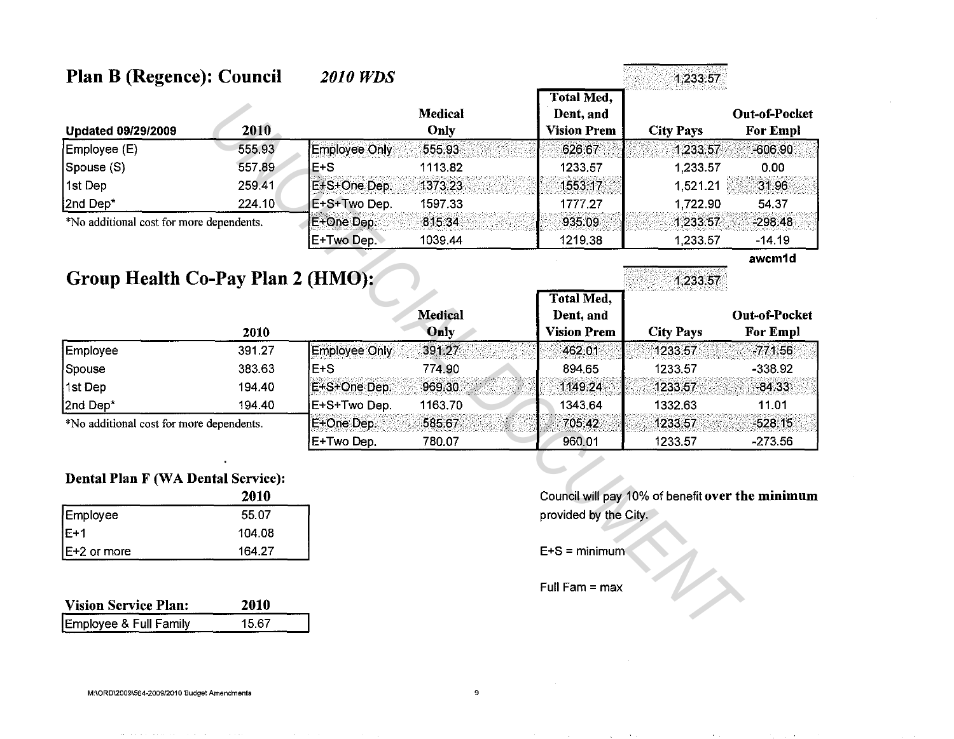| <b>Plan B (Regence): Council</b>         |        | <b>2010 WDS</b>      |                 |                                                      | 1,233.57         |                                  |  |
|------------------------------------------|--------|----------------------|-----------------|------------------------------------------------------|------------------|----------------------------------|--|
| <b>Updated 09/29/2009</b>                | 2010   |                      | Medical<br>Only | <b>Total Med,</b><br>Dent, and<br><b>Vision Prem</b> | <b>City Pays</b> | Out-of-Pocket<br><b>For Empl</b> |  |
| Employee (E)                             | 555.93 | Employee Only        | 555.93          | 626.67                                               | 1.233.57         | $-606.90$                        |  |
| Spouse (S)                               | 557.89 | $E + S$              | 1113.82         | 1233.57                                              | 1,233.57         | 0.00                             |  |
| 1st Dep                                  | 259.41 | E+S+One Dep.         | 1373.23         | 1553.17                                              | 1,521.21         | 31.96                            |  |
| 2nd Dep*                                 | 224.10 | E+S+Two Dep.         | 1597.33         | 1777.27                                              | 1,722.90         | 54.37                            |  |
| *No additional cost for more dependents. |        | E+One Dep.           | 815.34          | 935.09                                               | 1,233.57         | $-298.48$                        |  |
|                                          |        | E+Two Dep.           | 1039.44         | 1219.38                                              | 1,233.57         | $-14.19$                         |  |
| Group Health Co-Pay Plan 2 (HMO):        |        |                      |                 |                                                      |                  | awcm1d                           |  |
|                                          |        |                      |                 | <b>Total Med,</b>                                    | 1,233.57         |                                  |  |
|                                          |        |                      | <b>Medical</b>  | Dent, and                                            |                  | Out-of-Pocket                    |  |
|                                          | 2010   |                      | Only            | <b>Vision Prem</b>                                   | <b>City Pays</b> | <b>For Empl</b>                  |  |
| Employee                                 | 391.27 | <b>Employee Only</b> | 391.27          | 462.01                                               | 1233.57          | $-771.56$                        |  |
| Spouse                                   | 383.63 | $E+S$                | 774.90          | 894.65                                               | 1233.57          | $-338.92$                        |  |
| 1st Dep                                  | 194.40 | E+S+One Dep.         | 969.30          | 1149.24                                              | 1233.57          | $-84.33$                         |  |
| 2nd Dep*                                 | 194.40 | E+S+Two Dep.         | 1163.70         | 1343.64                                              | 1332.63          | 11.01                            |  |
| *No additional cost for more dependents. |        | E+One Dep.           | 585.67          | 705.42                                               | 1233.57          | $-528.15$                        |  |
|                                          |        | E+Two Dep.           | 780.07          | 960.01                                               | 1233.57          | $-273.56$                        |  |

## **Dental Plan F (WA Dental Service):**

|             | 2010   |
|-------------|--------|
| Employee    | 55.07  |
| IE+1        | 104.08 |
| E+2 or more | 164.27 |

| <b>Vision Service Plan:</b> | 2010  |
|-----------------------------|-------|
| Employee & Full Family      | 15.67 |

Council will pay 10% of benefit over the minimum provided by the City.

 $E+S = \text{minimum}$ 

Full Fam = max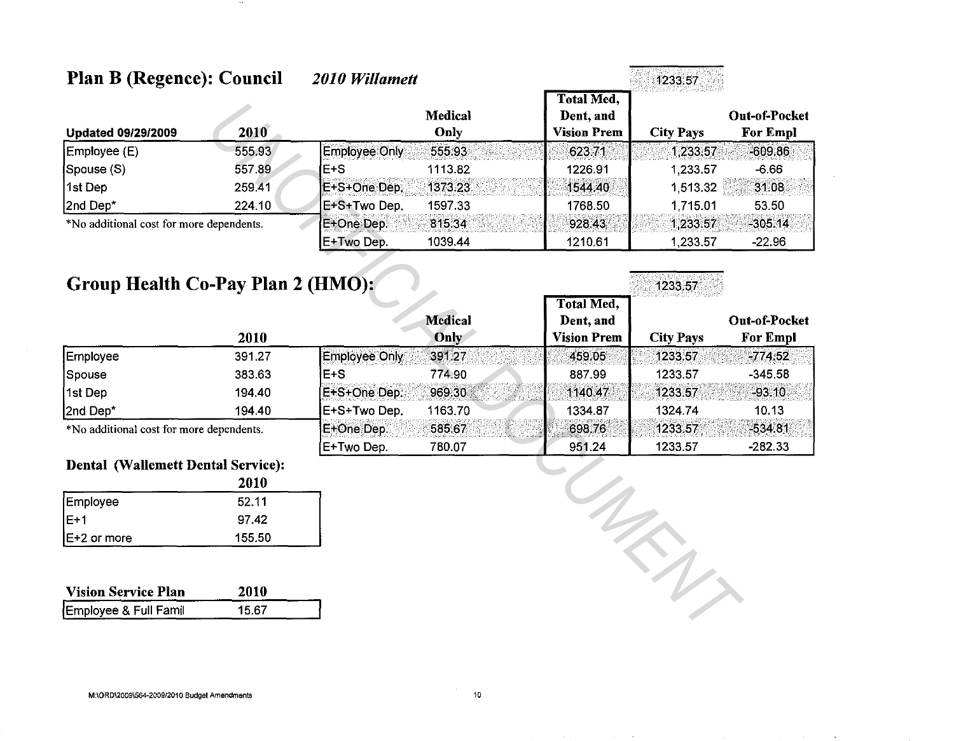| <b>Plan B (Regence): Council</b>         |        | 2010 Willamett |                        |                                                      | 1233.57          |                                         |
|------------------------------------------|--------|----------------|------------------------|------------------------------------------------------|------------------|-----------------------------------------|
| <b>Updated 09/29/2009</b>                | 2010   |                | <b>Medical</b><br>Only | <b>Total Med,</b><br>Dent, and<br><b>Vision Prem</b> | <b>City Pays</b> | <b>Out-of-Pocket</b><br><b>For Empl</b> |
| Employee (E)                             | 555.93 | Employee Only  | 555.93                 | 623.71                                               | 1 233.57         | $-609.86$                               |
| Spouse (S)                               | 557.89 | IE+S           | 1113.82                | 1226.91                                              | 1,233.57         | $-6.66$                                 |
| 1st Dep                                  | 259.41 | E+S+One Dep.   | 1373.23                | 1544.40                                              | 1,513.32         | 31.08                                   |
| 2nd Dep*                                 | 224.10 | E+S+Two Dep.   | 1597.33                | 1768.50                                              | 1,715.01         | 53.50                                   |
| *No additional cost for more dependents. |        | E+One Dep.     | 815.34                 | 928.43                                               | 1,233.57         | $-305.14$                               |
|                                          |        | E+Two Dep.     | 1039.44                | 1210.61                                              | 1,233.57         | $-22.96$                                |

# Group Health Co-Pay Plan 2 (HMO):

|                                          |        |               |                | Total Med,         | (空間の) いんこうき えんえいしん しんこう かななし もじの アープン ビカア かくしゅう しんしゃく |                      |
|------------------------------------------|--------|---------------|----------------|--------------------|-------------------------------------------------------|----------------------|
|                                          |        |               | <b>Medical</b> | Dent, and          |                                                       | <b>Out-of-Pocket</b> |
|                                          | 2010   |               | Only           | <b>Vision Prem</b> | <b>City Pays</b>                                      | <b>For Empl</b>      |
| Employee                                 | 391.27 | Employee Only | 391.27         | 459.05             | 1233.57                                               | $-774.52$            |
| Spouse                                   | 383.63 | IE+S          | 774.90         | 887.99             | 1233.57                                               | $-345.58$            |
| 1st Dep                                  | 194.40 | E+S+One Dep.  | 969.30         | 1140.47            | 1233,57                                               | $-93.10$             |
| 2nd Dep*                                 | 194.40 | E+S+Two Dep.  | 1163.70        | 1334.87            | 1324.74                                               | 10.13                |
| *No additional cost for more dependents. |        | E+One Dep.    | 585 67         | 698.76             | 1233.57                                               | $-534.81$            |
|                                          |        | E+Two Dep.    | 780.07         | 951.24             | 1233.57                                               | $-282.33$            |

1233.57

 $\mathcal{L}_{\mathcal{U}}$ 

### Dental (Wallemett Dental Service):

|              | 2010   |
|--------------|--------|
| Employee     | 52.11  |
| IE+1         | 97.42  |
| IE+2 or more | 155.50 |

| <b>Vision Service Plan</b> | 2010  |
|----------------------------|-------|
| Employee & Full Famil      | 15.67 |

M:\ORD\2009\564-2009/2010 Budget Amendments